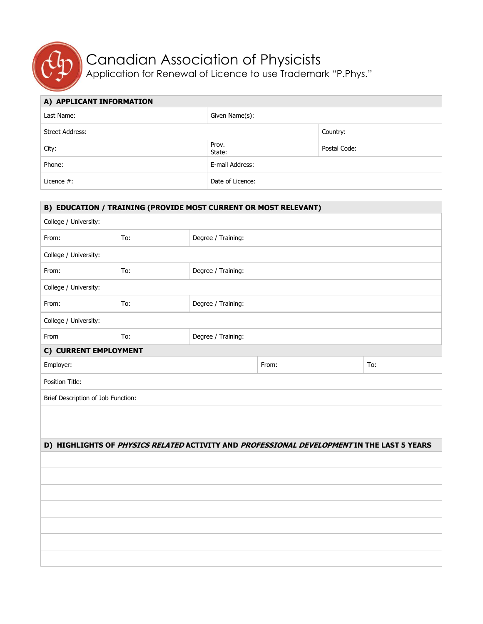

## Canadian Association of Physicists

Application for Renewal of Licence to use Trademark "P.Phys."

| A) APPLICANT INFORMATION |                  |              |  |  |
|--------------------------|------------------|--------------|--|--|
| Last Name:               | Given Name(s):   |              |  |  |
| Street Address:          |                  | Country:     |  |  |
| City:                    | Prov.<br>State:  | Postal Code: |  |  |
| Phone:                   | E-mail Address:  |              |  |  |
| Licence $#$ :            | Date of Licence: |              |  |  |

| B) EDUCATION / TRAINING (PROVIDE MOST CURRENT OR MOST RELEVANT) |     |                    |                                                                                            |     |  |  |  |
|-----------------------------------------------------------------|-----|--------------------|--------------------------------------------------------------------------------------------|-----|--|--|--|
| College / University:                                           |     |                    |                                                                                            |     |  |  |  |
| From:                                                           | To: | Degree / Training: |                                                                                            |     |  |  |  |
| College / University:                                           |     |                    |                                                                                            |     |  |  |  |
| From:                                                           | To: | Degree / Training: |                                                                                            |     |  |  |  |
| College / University:                                           |     |                    |                                                                                            |     |  |  |  |
| From:                                                           | To: | Degree / Training: |                                                                                            |     |  |  |  |
| College / University:                                           |     |                    |                                                                                            |     |  |  |  |
| From                                                            | To: | Degree / Training: |                                                                                            |     |  |  |  |
| C) CURRENT EMPLOYMENT                                           |     |                    |                                                                                            |     |  |  |  |
| Employer:                                                       |     |                    | From:                                                                                      | To: |  |  |  |
| Position Title:                                                 |     |                    |                                                                                            |     |  |  |  |
| Brief Description of Job Function:                              |     |                    |                                                                                            |     |  |  |  |
|                                                                 |     |                    |                                                                                            |     |  |  |  |
|                                                                 |     |                    |                                                                                            |     |  |  |  |
|                                                                 |     |                    | D) HIGHLIGHTS OF PHYSICS RELATED ACTIVITY AND PROFESSIONAL DEVELOPMENT IN THE LAST 5 YEARS |     |  |  |  |
|                                                                 |     |                    |                                                                                            |     |  |  |  |
|                                                                 |     |                    |                                                                                            |     |  |  |  |
|                                                                 |     |                    |                                                                                            |     |  |  |  |
|                                                                 |     |                    |                                                                                            |     |  |  |  |
|                                                                 |     |                    |                                                                                            |     |  |  |  |
|                                                                 |     |                    |                                                                                            |     |  |  |  |
|                                                                 |     |                    |                                                                                            |     |  |  |  |